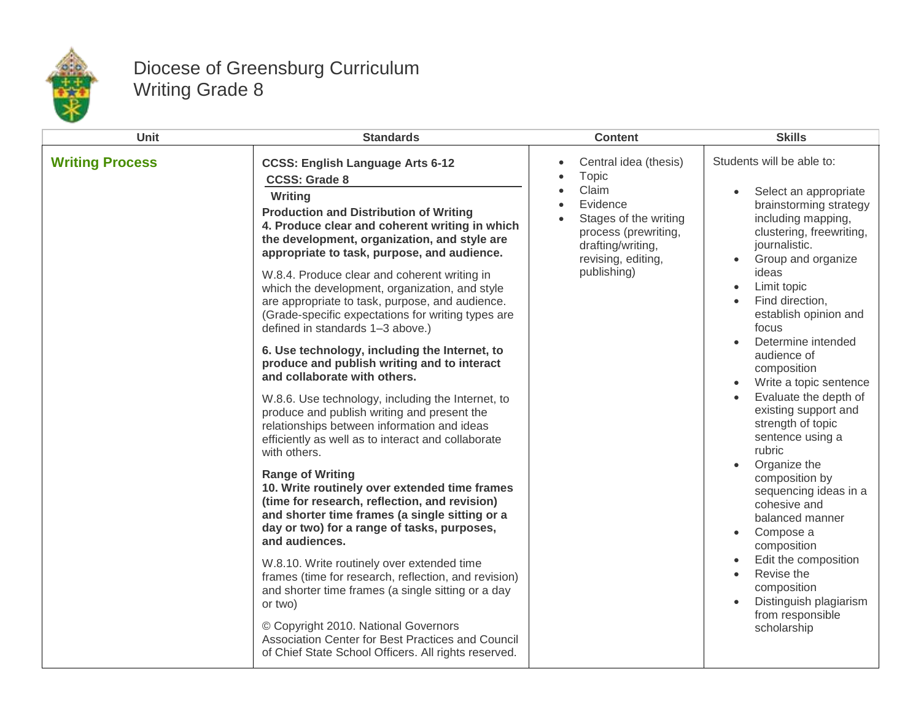

## Diocese of Greensburg Curriculum Writing Grade 8

| Unit                   | <b>Standards</b>                                                                                                                                                                                                                                                                                                                                                                                                                                                                                                                                                                                                                                                                                                                                                                                                                                                                                                                                                                                                                                                                                                                                                                                                                                                                                                                                                                                                                                                 | <b>Content</b>                                                                                                                                                                           | <b>Skills</b>                                                                                                                                                                                                                                                                                                                                                                                                                                                                                                                                                                                                                                                                                                           |
|------------------------|------------------------------------------------------------------------------------------------------------------------------------------------------------------------------------------------------------------------------------------------------------------------------------------------------------------------------------------------------------------------------------------------------------------------------------------------------------------------------------------------------------------------------------------------------------------------------------------------------------------------------------------------------------------------------------------------------------------------------------------------------------------------------------------------------------------------------------------------------------------------------------------------------------------------------------------------------------------------------------------------------------------------------------------------------------------------------------------------------------------------------------------------------------------------------------------------------------------------------------------------------------------------------------------------------------------------------------------------------------------------------------------------------------------------------------------------------------------|------------------------------------------------------------------------------------------------------------------------------------------------------------------------------------------|-------------------------------------------------------------------------------------------------------------------------------------------------------------------------------------------------------------------------------------------------------------------------------------------------------------------------------------------------------------------------------------------------------------------------------------------------------------------------------------------------------------------------------------------------------------------------------------------------------------------------------------------------------------------------------------------------------------------------|
| <b>Writing Process</b> | <b>CCSS: English Language Arts 6-12</b><br><b>CCSS: Grade 8</b><br>Writing<br><b>Production and Distribution of Writing</b><br>4. Produce clear and coherent writing in which<br>the development, organization, and style are<br>appropriate to task, purpose, and audience.<br>W.8.4. Produce clear and coherent writing in<br>which the development, organization, and style<br>are appropriate to task, purpose, and audience.<br>(Grade-specific expectations for writing types are<br>defined in standards 1-3 above.)<br>6. Use technology, including the Internet, to<br>produce and publish writing and to interact<br>and collaborate with others.<br>W.8.6. Use technology, including the Internet, to<br>produce and publish writing and present the<br>relationships between information and ideas<br>efficiently as well as to interact and collaborate<br>with others.<br><b>Range of Writing</b><br>10. Write routinely over extended time frames<br>(time for research, reflection, and revision)<br>and shorter time frames (a single sitting or a<br>day or two) for a range of tasks, purposes,<br>and audiences.<br>W.8.10. Write routinely over extended time<br>frames (time for research, reflection, and revision)<br>and shorter time frames (a single sitting or a day<br>or two)<br>© Copyright 2010. National Governors<br>Association Center for Best Practices and Council<br>of Chief State School Officers. All rights reserved. | Central idea (thesis)<br>$\bullet$<br>Topic<br>Claim<br>Evidence<br>Stages of the writing<br>$\bullet$<br>process (prewriting,<br>drafting/writing,<br>revising, editing,<br>publishing) | Students will be able to:<br>Select an appropriate<br>brainstorming strategy<br>including mapping,<br>clustering, freewriting,<br>journalistic.<br>Group and organize<br>$\bullet$<br>ideas<br>Limit topic<br>Find direction,<br>establish opinion and<br>focus<br>Determine intended<br>audience of<br>composition<br>Write a topic sentence<br>Evaluate the depth of<br>existing support and<br>strength of topic<br>sentence using a<br>rubric<br>Organize the<br>composition by<br>sequencing ideas in a<br>cohesive and<br>balanced manner<br>Compose a<br>$\bullet$<br>composition<br>Edit the composition<br>Revise the<br>$\bullet$<br>composition<br>Distinguish plagiarism<br>from responsible<br>scholarship |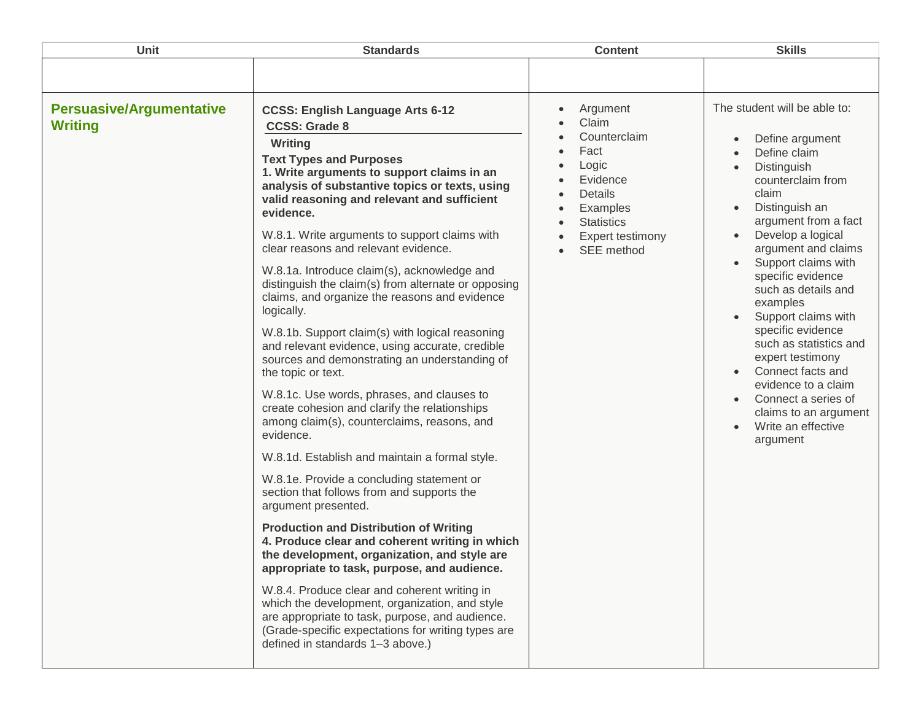| Unit                                              | <b>Standards</b>                                                                                                                                                                                                                                                                                                                                                                                                                                                                                                                                                                                                                                                                                                                                                                                                                                                                                                                                                                                                                                                                                                                                                                                                                                                                                                                                                                                                                                                                                    | <b>Content</b>                                                                                                                                            | <b>Skills</b>                                                                                                                                                                                                                                                                                                                                                                                                                                                                                                          |
|---------------------------------------------------|-----------------------------------------------------------------------------------------------------------------------------------------------------------------------------------------------------------------------------------------------------------------------------------------------------------------------------------------------------------------------------------------------------------------------------------------------------------------------------------------------------------------------------------------------------------------------------------------------------------------------------------------------------------------------------------------------------------------------------------------------------------------------------------------------------------------------------------------------------------------------------------------------------------------------------------------------------------------------------------------------------------------------------------------------------------------------------------------------------------------------------------------------------------------------------------------------------------------------------------------------------------------------------------------------------------------------------------------------------------------------------------------------------------------------------------------------------------------------------------------------------|-----------------------------------------------------------------------------------------------------------------------------------------------------------|------------------------------------------------------------------------------------------------------------------------------------------------------------------------------------------------------------------------------------------------------------------------------------------------------------------------------------------------------------------------------------------------------------------------------------------------------------------------------------------------------------------------|
|                                                   |                                                                                                                                                                                                                                                                                                                                                                                                                                                                                                                                                                                                                                                                                                                                                                                                                                                                                                                                                                                                                                                                                                                                                                                                                                                                                                                                                                                                                                                                                                     |                                                                                                                                                           |                                                                                                                                                                                                                                                                                                                                                                                                                                                                                                                        |
| <b>Persuasive/Argumentative</b><br><b>Writing</b> | <b>CCSS: English Language Arts 6-12</b><br><b>CCSS: Grade 8</b><br>Writing<br><b>Text Types and Purposes</b><br>1. Write arguments to support claims in an<br>analysis of substantive topics or texts, using<br>valid reasoning and relevant and sufficient<br>evidence.<br>W.8.1. Write arguments to support claims with<br>clear reasons and relevant evidence.<br>W.8.1a. Introduce claim(s), acknowledge and<br>distinguish the claim(s) from alternate or opposing<br>claims, and organize the reasons and evidence<br>logically.<br>W.8.1b. Support claim(s) with logical reasoning<br>and relevant evidence, using accurate, credible<br>sources and demonstrating an understanding of<br>the topic or text.<br>W.8.1c. Use words, phrases, and clauses to<br>create cohesion and clarify the relationships<br>among claim(s), counterclaims, reasons, and<br>evidence.<br>W.8.1d. Establish and maintain a formal style.<br>W.8.1e. Provide a concluding statement or<br>section that follows from and supports the<br>argument presented.<br><b>Production and Distribution of Writing</b><br>4. Produce clear and coherent writing in which<br>the development, organization, and style are<br>appropriate to task, purpose, and audience.<br>W.8.4. Produce clear and coherent writing in<br>which the development, organization, and style<br>are appropriate to task, purpose, and audience.<br>(Grade-specific expectations for writing types are<br>defined in standards 1-3 above.) | Argument<br>Claim<br>Counterclaim<br>Fact<br>Logic<br>Evidence<br>Details<br>Examples<br><b>Statistics</b><br>$\bullet$<br>Expert testimony<br>SEE method | The student will be able to:<br>Define argument<br>Define claim<br>Distinguish<br>counterclaim from<br>claim<br>Distinguish an<br>argument from a fact<br>Develop a logical<br>$\bullet$<br>argument and claims<br>Support claims with<br>specific evidence<br>such as details and<br>examples<br>Support claims with<br>specific evidence<br>such as statistics and<br>expert testimony<br>Connect facts and<br>evidence to a claim<br>Connect a series of<br>claims to an argument<br>Write an effective<br>argument |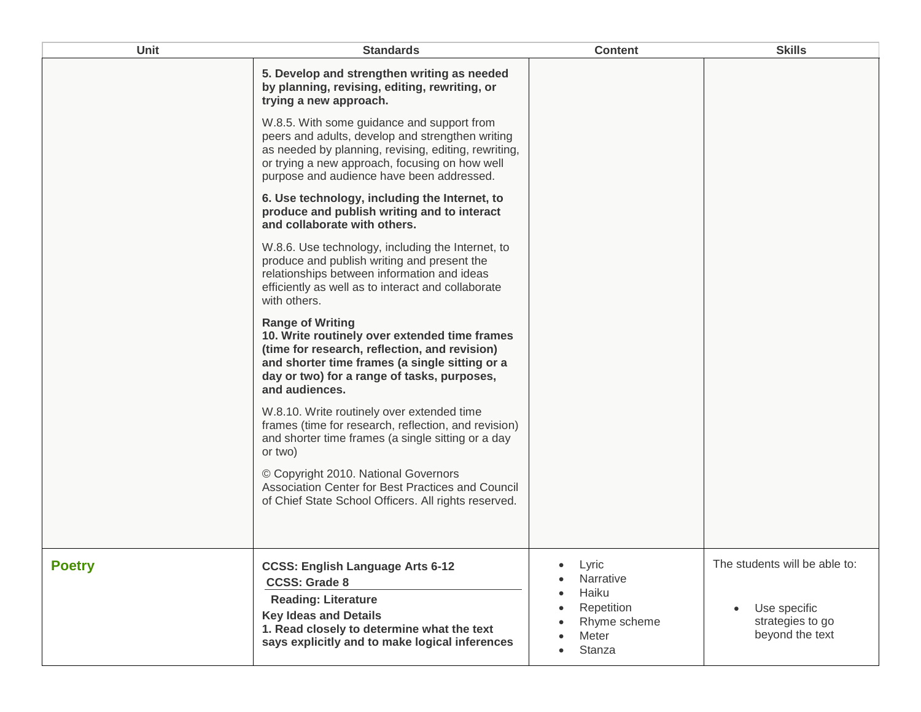| <b>Unit</b>   | <b>Standards</b>                                                                                                                                                                                                                                      | <b>Content</b>                                                          | <b>Skills</b>                                       |
|---------------|-------------------------------------------------------------------------------------------------------------------------------------------------------------------------------------------------------------------------------------------------------|-------------------------------------------------------------------------|-----------------------------------------------------|
|               | 5. Develop and strengthen writing as needed<br>by planning, revising, editing, rewriting, or<br>trying a new approach.                                                                                                                                |                                                                         |                                                     |
|               | W.8.5. With some guidance and support from<br>peers and adults, develop and strengthen writing<br>as needed by planning, revising, editing, rewriting,<br>or trying a new approach, focusing on how well<br>purpose and audience have been addressed. |                                                                         |                                                     |
|               | 6. Use technology, including the Internet, to<br>produce and publish writing and to interact<br>and collaborate with others.                                                                                                                          |                                                                         |                                                     |
|               | W.8.6. Use technology, including the Internet, to<br>produce and publish writing and present the<br>relationships between information and ideas<br>efficiently as well as to interact and collaborate<br>with others.                                 |                                                                         |                                                     |
|               | <b>Range of Writing</b><br>10. Write routinely over extended time frames<br>(time for research, reflection, and revision)<br>and shorter time frames (a single sitting or a<br>day or two) for a range of tasks, purposes,<br>and audiences.          |                                                                         |                                                     |
|               | W.8.10. Write routinely over extended time<br>frames (time for research, reflection, and revision)<br>and shorter time frames (a single sitting or a day<br>or two)                                                                                   |                                                                         |                                                     |
|               | © Copyright 2010. National Governors<br>Association Center for Best Practices and Council<br>of Chief State School Officers. All rights reserved.                                                                                                     |                                                                         |                                                     |
| <b>Poetry</b> | <b>CCSS: English Language Arts 6-12</b><br><b>CCSS: Grade 8</b>                                                                                                                                                                                       | Lyric<br>Narrative<br>Haiku                                             | The students will be able to:                       |
|               | <b>Reading: Literature</b><br><b>Key Ideas and Details</b><br>1. Read closely to determine what the text<br>says explicitly and to make logical inferences                                                                                            | $\bullet$<br>Repetition<br>$\bullet$<br>Rhyme scheme<br>Meter<br>Stanza | Use specific<br>strategies to go<br>beyond the text |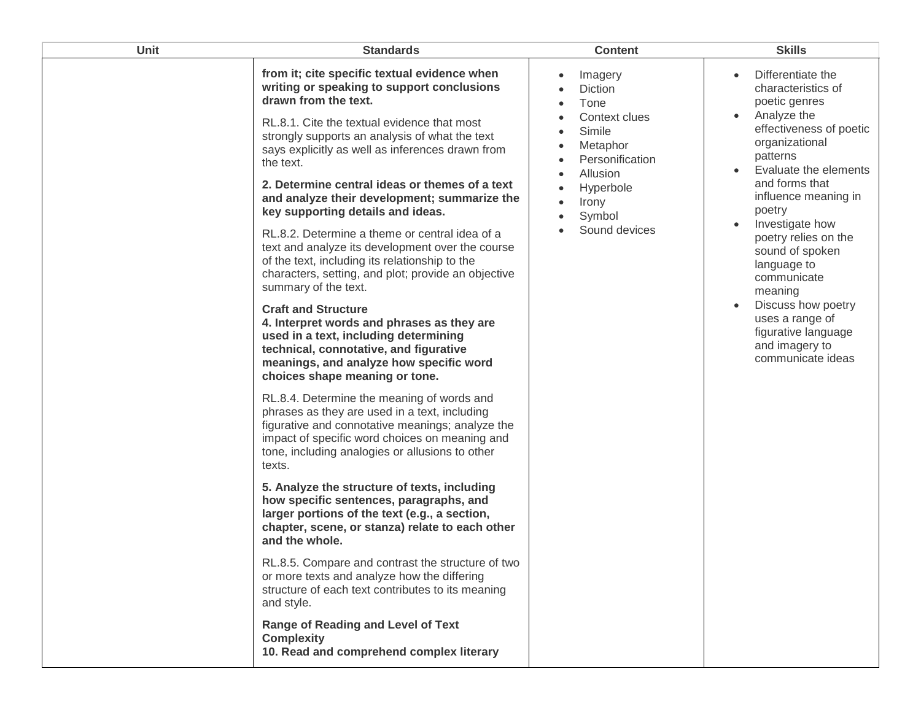| <b>Unit</b> | <b>Standards</b>                                                                                                                                                                                                                                                                                                                                                                                                                                                                                                                                                                                                                                                                                                                                                                                                                                                                                                                                                                                                                                                                                                                                                                                                                                                                                                                                                                                                                                                                                                                                                                                                                                                                | <b>Content</b>                                                                                                                                                 | <b>Skills</b>                                                                                                                                                                                                                                                                                                                                                                                                                                                                   |
|-------------|---------------------------------------------------------------------------------------------------------------------------------------------------------------------------------------------------------------------------------------------------------------------------------------------------------------------------------------------------------------------------------------------------------------------------------------------------------------------------------------------------------------------------------------------------------------------------------------------------------------------------------------------------------------------------------------------------------------------------------------------------------------------------------------------------------------------------------------------------------------------------------------------------------------------------------------------------------------------------------------------------------------------------------------------------------------------------------------------------------------------------------------------------------------------------------------------------------------------------------------------------------------------------------------------------------------------------------------------------------------------------------------------------------------------------------------------------------------------------------------------------------------------------------------------------------------------------------------------------------------------------------------------------------------------------------|----------------------------------------------------------------------------------------------------------------------------------------------------------------|---------------------------------------------------------------------------------------------------------------------------------------------------------------------------------------------------------------------------------------------------------------------------------------------------------------------------------------------------------------------------------------------------------------------------------------------------------------------------------|
|             | from it; cite specific textual evidence when<br>writing or speaking to support conclusions<br>drawn from the text.<br>RL.8.1. Cite the textual evidence that most<br>strongly supports an analysis of what the text<br>says explicitly as well as inferences drawn from<br>the text.<br>2. Determine central ideas or themes of a text<br>and analyze their development; summarize the<br>key supporting details and ideas.<br>RL.8.2. Determine a theme or central idea of a<br>text and analyze its development over the course<br>of the text, including its relationship to the<br>characters, setting, and plot; provide an objective<br>summary of the text.<br><b>Craft and Structure</b><br>4. Interpret words and phrases as they are<br>used in a text, including determining<br>technical, connotative, and figurative<br>meanings, and analyze how specific word<br>choices shape meaning or tone.<br>RL.8.4. Determine the meaning of words and<br>phrases as they are used in a text, including<br>figurative and connotative meanings; analyze the<br>impact of specific word choices on meaning and<br>tone, including analogies or allusions to other<br>texts.<br>5. Analyze the structure of texts, including<br>how specific sentences, paragraphs, and<br>larger portions of the text (e.g., a section,<br>chapter, scene, or stanza) relate to each other<br>and the whole.<br>RL.8.5. Compare and contrast the structure of two<br>or more texts and analyze how the differing<br>structure of each text contributes to its meaning<br>and style.<br>Range of Reading and Level of Text<br><b>Complexity</b><br>10. Read and comprehend complex literary | Imagery<br>$\bullet$<br>Diction<br>Tone<br>Context clues<br>Simile<br>Metaphor<br>Personification<br>Allusion<br>Hyperbole<br>Irony<br>Symbol<br>Sound devices | Differentiate the<br>$\bullet$<br>characteristics of<br>poetic genres<br>Analyze the<br>$\bullet$<br>effectiveness of poetic<br>organizational<br>patterns<br>Evaluate the elements<br>and forms that<br>influence meaning in<br>poetry<br>Investigate how<br>$\bullet$<br>poetry relies on the<br>sound of spoken<br>language to<br>communicate<br>meaning<br>Discuss how poetry<br>$\bullet$<br>uses a range of<br>figurative language<br>and imagery to<br>communicate ideas |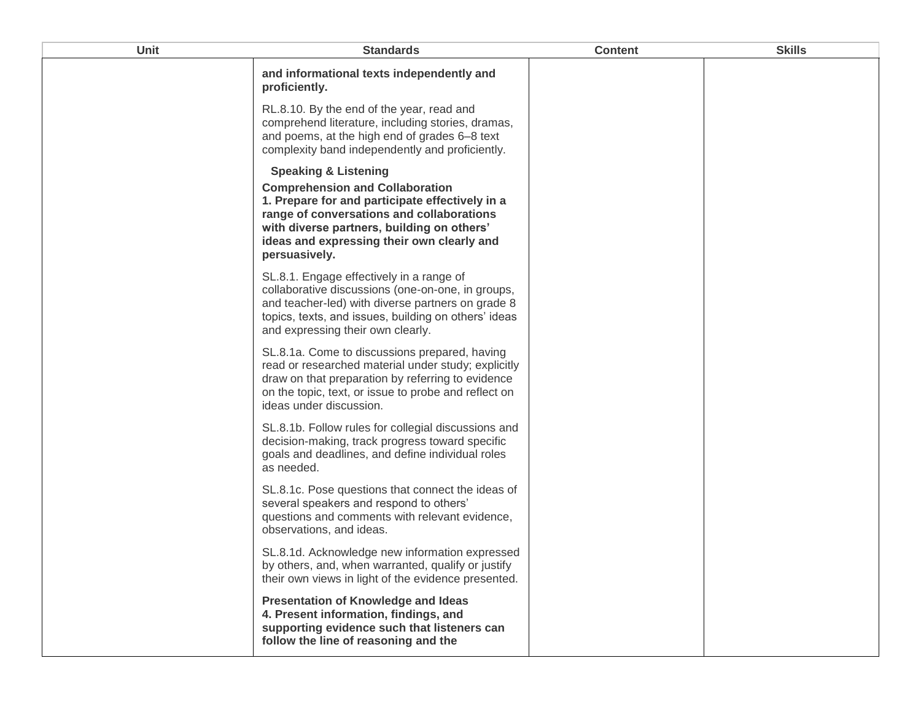| Unit | <b>Standards</b>                                                                                                                                                                                                                                                                       | <b>Content</b> | <b>Skills</b> |
|------|----------------------------------------------------------------------------------------------------------------------------------------------------------------------------------------------------------------------------------------------------------------------------------------|----------------|---------------|
|      | and informational texts independently and<br>proficiently.                                                                                                                                                                                                                             |                |               |
|      | RL.8.10. By the end of the year, read and<br>comprehend literature, including stories, dramas,<br>and poems, at the high end of grades 6-8 text<br>complexity band independently and proficiently.                                                                                     |                |               |
|      | <b>Speaking &amp; Listening</b><br><b>Comprehension and Collaboration</b><br>1. Prepare for and participate effectively in a<br>range of conversations and collaborations<br>with diverse partners, building on others'<br>ideas and expressing their own clearly and<br>persuasively. |                |               |
|      | SL.8.1. Engage effectively in a range of<br>collaborative discussions (one-on-one, in groups,<br>and teacher-led) with diverse partners on grade 8<br>topics, texts, and issues, building on others' ideas<br>and expressing their own clearly.                                        |                |               |
|      | SL.8.1a. Come to discussions prepared, having<br>read or researched material under study; explicitly<br>draw on that preparation by referring to evidence<br>on the topic, text, or issue to probe and reflect on<br>ideas under discussion.                                           |                |               |
|      | SL.8.1b. Follow rules for collegial discussions and<br>decision-making, track progress toward specific<br>goals and deadlines, and define individual roles<br>as needed.                                                                                                               |                |               |
|      | SL.8.1c. Pose questions that connect the ideas of<br>several speakers and respond to others'<br>questions and comments with relevant evidence,<br>observations, and ideas.                                                                                                             |                |               |
|      | SL.8.1d. Acknowledge new information expressed<br>by others, and, when warranted, qualify or justify<br>their own views in light of the evidence presented.                                                                                                                            |                |               |
|      | <b>Presentation of Knowledge and Ideas</b><br>4. Present information, findings, and<br>supporting evidence such that listeners can<br>follow the line of reasoning and the                                                                                                             |                |               |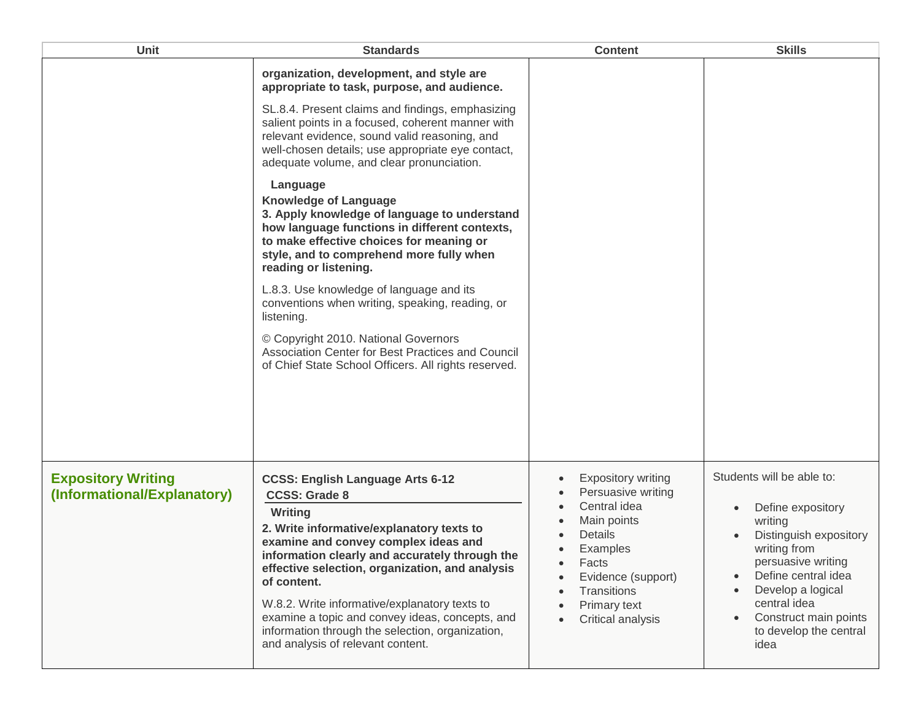| Unit                                                     | <b>Standards</b>                                                                                                                                                                                                                                                                                                                                                                                                                                                                 | <b>Content</b>                                                                                                                                                                                                                  | <b>Skills</b>                                                                                                                                                                                                                                    |
|----------------------------------------------------------|----------------------------------------------------------------------------------------------------------------------------------------------------------------------------------------------------------------------------------------------------------------------------------------------------------------------------------------------------------------------------------------------------------------------------------------------------------------------------------|---------------------------------------------------------------------------------------------------------------------------------------------------------------------------------------------------------------------------------|--------------------------------------------------------------------------------------------------------------------------------------------------------------------------------------------------------------------------------------------------|
|                                                          | organization, development, and style are<br>appropriate to task, purpose, and audience.<br>SL.8.4. Present claims and findings, emphasizing<br>salient points in a focused, coherent manner with<br>relevant evidence, sound valid reasoning, and<br>well-chosen details; use appropriate eye contact,<br>adequate volume, and clear pronunciation.                                                                                                                              |                                                                                                                                                                                                                                 |                                                                                                                                                                                                                                                  |
|                                                          | Language<br><b>Knowledge of Language</b><br>3. Apply knowledge of language to understand<br>how language functions in different contexts,<br>to make effective choices for meaning or<br>style, and to comprehend more fully when<br>reading or listening.                                                                                                                                                                                                                       |                                                                                                                                                                                                                                 |                                                                                                                                                                                                                                                  |
|                                                          | L.8.3. Use knowledge of language and its<br>conventions when writing, speaking, reading, or<br>listening.                                                                                                                                                                                                                                                                                                                                                                        |                                                                                                                                                                                                                                 |                                                                                                                                                                                                                                                  |
|                                                          | © Copyright 2010. National Governors<br>Association Center for Best Practices and Council<br>of Chief State School Officers. All rights reserved.                                                                                                                                                                                                                                                                                                                                |                                                                                                                                                                                                                                 |                                                                                                                                                                                                                                                  |
| <b>Expository Writing</b><br>(Informational/Explanatory) | <b>CCSS: English Language Arts 6-12</b><br><b>CCSS: Grade 8</b><br>Writing<br>2. Write informative/explanatory texts to<br>examine and convey complex ideas and<br>information clearly and accurately through the<br>effective selection, organization, and analysis<br>of content.<br>W.8.2. Write informative/explanatory texts to<br>examine a topic and convey ideas, concepts, and<br>information through the selection, organization,<br>and analysis of relevant content. | <b>Expository writing</b><br>$\bullet$<br>Persuasive writing<br>Central idea<br>Main points<br>Details<br>Examples<br>Facts<br>Evidence (support)<br>$\bullet$<br>Transitions<br>$\bullet$<br>Primary text<br>Critical analysis | Students will be able to:<br>Define expository<br>writing<br>Distinguish expository<br>writing from<br>persuasive writing<br>Define central idea<br>Develop a logical<br>central idea<br>Construct main points<br>to develop the central<br>idea |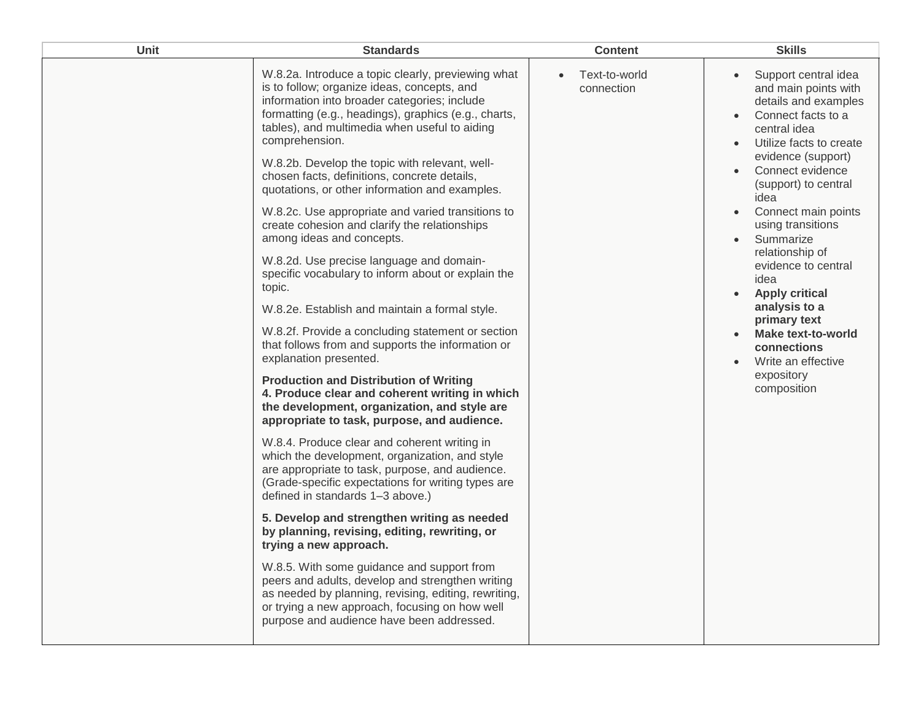| Unit | <b>Standards</b>                                                                                                                                                                                                                                                                                                                                                                                                                                                                                                                                                                                                                                                                                                                                                                                                                                                                                                                                                                                                                                                                                                                                                                                                                                                                                                                                                                                                                                                                                                                                                                                                                                                                                          | <b>Content</b>                           | <b>Skills</b>                                                                                                                                                                                                                                                                                                                                                                                                                                                                                                                                              |
|------|-----------------------------------------------------------------------------------------------------------------------------------------------------------------------------------------------------------------------------------------------------------------------------------------------------------------------------------------------------------------------------------------------------------------------------------------------------------------------------------------------------------------------------------------------------------------------------------------------------------------------------------------------------------------------------------------------------------------------------------------------------------------------------------------------------------------------------------------------------------------------------------------------------------------------------------------------------------------------------------------------------------------------------------------------------------------------------------------------------------------------------------------------------------------------------------------------------------------------------------------------------------------------------------------------------------------------------------------------------------------------------------------------------------------------------------------------------------------------------------------------------------------------------------------------------------------------------------------------------------------------------------------------------------------------------------------------------------|------------------------------------------|------------------------------------------------------------------------------------------------------------------------------------------------------------------------------------------------------------------------------------------------------------------------------------------------------------------------------------------------------------------------------------------------------------------------------------------------------------------------------------------------------------------------------------------------------------|
|      | W.8.2a. Introduce a topic clearly, previewing what<br>is to follow; organize ideas, concepts, and<br>information into broader categories; include<br>formatting (e.g., headings), graphics (e.g., charts,<br>tables), and multimedia when useful to aiding<br>comprehension.<br>W.8.2b. Develop the topic with relevant, well-<br>chosen facts, definitions, concrete details,<br>quotations, or other information and examples.<br>W.8.2c. Use appropriate and varied transitions to<br>create cohesion and clarify the relationships<br>among ideas and concepts.<br>W.8.2d. Use precise language and domain-<br>specific vocabulary to inform about or explain the<br>topic.<br>W.8.2e. Establish and maintain a formal style.<br>W.8.2f. Provide a concluding statement or section<br>that follows from and supports the information or<br>explanation presented.<br><b>Production and Distribution of Writing</b><br>4. Produce clear and coherent writing in which<br>the development, organization, and style are<br>appropriate to task, purpose, and audience.<br>W.8.4. Produce clear and coherent writing in<br>which the development, organization, and style<br>are appropriate to task, purpose, and audience.<br>(Grade-specific expectations for writing types are<br>defined in standards 1-3 above.)<br>5. Develop and strengthen writing as needed<br>by planning, revising, editing, rewriting, or<br>trying a new approach.<br>W.8.5. With some guidance and support from<br>peers and adults, develop and strengthen writing<br>as needed by planning, revising, editing, rewriting,<br>or trying a new approach, focusing on how well<br>purpose and audience have been addressed. | Text-to-world<br>$\bullet$<br>connection | Support central idea<br>$\bullet$<br>and main points with<br>details and examples<br>Connect facts to a<br>$\bullet$<br>central idea<br>Utilize facts to create<br>$\bullet$<br>evidence (support)<br>Connect evidence<br>(support) to central<br>idea<br>Connect main points<br>using transitions<br>Summarize<br>$\bullet$<br>relationship of<br>evidence to central<br>idea<br><b>Apply critical</b><br>$\bullet$<br>analysis to a<br>primary text<br>Make text-to-world<br>$\bullet$<br>connections<br>Write an effective<br>expository<br>composition |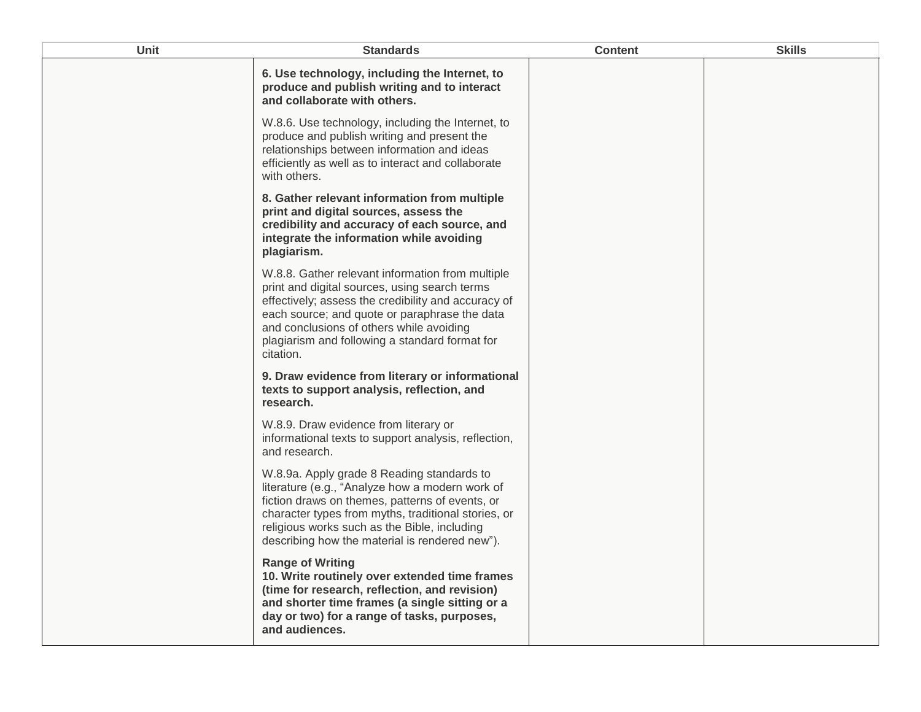| Unit | <b>Standards</b>                                                                                                                                                                                                                                                                                                     | <b>Content</b> | <b>Skills</b> |
|------|----------------------------------------------------------------------------------------------------------------------------------------------------------------------------------------------------------------------------------------------------------------------------------------------------------------------|----------------|---------------|
|      | 6. Use technology, including the Internet, to<br>produce and publish writing and to interact<br>and collaborate with others.                                                                                                                                                                                         |                |               |
|      | W.8.6. Use technology, including the Internet, to<br>produce and publish writing and present the<br>relationships between information and ideas<br>efficiently as well as to interact and collaborate<br>with others.                                                                                                |                |               |
|      | 8. Gather relevant information from multiple<br>print and digital sources, assess the<br>credibility and accuracy of each source, and<br>integrate the information while avoiding<br>plagiarism.                                                                                                                     |                |               |
|      | W.8.8. Gather relevant information from multiple<br>print and digital sources, using search terms<br>effectively; assess the credibility and accuracy of<br>each source; and quote or paraphrase the data<br>and conclusions of others while avoiding<br>plagiarism and following a standard format for<br>citation. |                |               |
|      | 9. Draw evidence from literary or informational<br>texts to support analysis, reflection, and<br>research.                                                                                                                                                                                                           |                |               |
|      | W.8.9. Draw evidence from literary or<br>informational texts to support analysis, reflection,<br>and research.                                                                                                                                                                                                       |                |               |
|      | W.8.9a. Apply grade 8 Reading standards to<br>literature (e.g., "Analyze how a modern work of<br>fiction draws on themes, patterns of events, or<br>character types from myths, traditional stories, or<br>religious works such as the Bible, including<br>describing how the material is rendered new").            |                |               |
|      | <b>Range of Writing</b><br>10. Write routinely over extended time frames<br>(time for research, reflection, and revision)<br>and shorter time frames (a single sitting or a<br>day or two) for a range of tasks, purposes,<br>and audiences.                                                                         |                |               |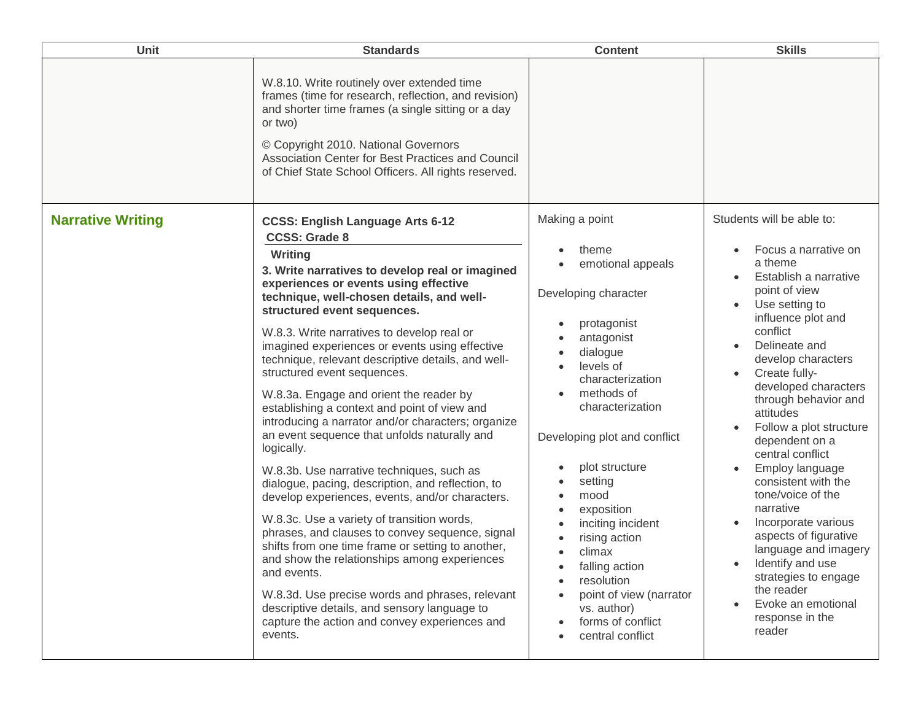| <b>Unit</b>              | <b>Standards</b>                                                                                                                                                                                                                                                                                                                                                                                                                                                                                                                                                                                                                                                                                                                                                                                                                                                                                                                                                                                                                                                                                                                                                                                | <b>Content</b>                                                                                                                                                                                                                                                                                                                                                                                                                                      | <b>Skills</b>                                                                                                                                                                                                                                                                                                                                                                                                                                                                                                                                                                                                     |
|--------------------------|-------------------------------------------------------------------------------------------------------------------------------------------------------------------------------------------------------------------------------------------------------------------------------------------------------------------------------------------------------------------------------------------------------------------------------------------------------------------------------------------------------------------------------------------------------------------------------------------------------------------------------------------------------------------------------------------------------------------------------------------------------------------------------------------------------------------------------------------------------------------------------------------------------------------------------------------------------------------------------------------------------------------------------------------------------------------------------------------------------------------------------------------------------------------------------------------------|-----------------------------------------------------------------------------------------------------------------------------------------------------------------------------------------------------------------------------------------------------------------------------------------------------------------------------------------------------------------------------------------------------------------------------------------------------|-------------------------------------------------------------------------------------------------------------------------------------------------------------------------------------------------------------------------------------------------------------------------------------------------------------------------------------------------------------------------------------------------------------------------------------------------------------------------------------------------------------------------------------------------------------------------------------------------------------------|
|                          | W.8.10. Write routinely over extended time<br>frames (time for research, reflection, and revision)<br>and shorter time frames (a single sitting or a day<br>or two)<br>© Copyright 2010. National Governors<br>Association Center for Best Practices and Council<br>of Chief State School Officers. All rights reserved.                                                                                                                                                                                                                                                                                                                                                                                                                                                                                                                                                                                                                                                                                                                                                                                                                                                                        |                                                                                                                                                                                                                                                                                                                                                                                                                                                     |                                                                                                                                                                                                                                                                                                                                                                                                                                                                                                                                                                                                                   |
| <b>Narrative Writing</b> | <b>CCSS: English Language Arts 6-12</b><br><b>CCSS: Grade 8</b><br>Writing<br>3. Write narratives to develop real or imagined<br>experiences or events using effective<br>technique, well-chosen details, and well-<br>structured event sequences.<br>W.8.3. Write narratives to develop real or<br>imagined experiences or events using effective<br>technique, relevant descriptive details, and well-<br>structured event sequences.<br>W.8.3a. Engage and orient the reader by<br>establishing a context and point of view and<br>introducing a narrator and/or characters; organize<br>an event sequence that unfolds naturally and<br>logically.<br>W.8.3b. Use narrative techniques, such as<br>dialogue, pacing, description, and reflection, to<br>develop experiences, events, and/or characters.<br>W.8.3c. Use a variety of transition words,<br>phrases, and clauses to convey sequence, signal<br>shifts from one time frame or setting to another,<br>and show the relationships among experiences<br>and events.<br>W.8.3d. Use precise words and phrases, relevant<br>descriptive details, and sensory language to<br>capture the action and convey experiences and<br>events. | Making a point<br>theme<br>emotional appeals<br>Developing character<br>protagonist<br>antagonist<br>dialogue<br>levels of<br>characterization<br>methods of<br>characterization<br>Developing plot and conflict<br>plot structure<br>setting<br>mood<br>exposition<br>inciting incident<br>rising action<br>climax<br>$\bullet$<br>falling action<br>resolution<br>point of view (narrator<br>vs. author)<br>forms of conflict<br>central conflict | Students will be able to:<br>Focus a narrative on<br>a theme<br>Establish a narrative<br>point of view<br>Use setting to<br>influence plot and<br>conflict<br>Delineate and<br>develop characters<br>Create fully-<br>developed characters<br>through behavior and<br>attitudes<br>Follow a plot structure<br>dependent on a<br>central conflict<br>Employ language<br>consistent with the<br>tone/voice of the<br>narrative<br>Incorporate various<br>aspects of figurative<br>language and imagery<br>Identify and use<br>strategies to engage<br>the reader<br>Evoke an emotional<br>response in the<br>reader |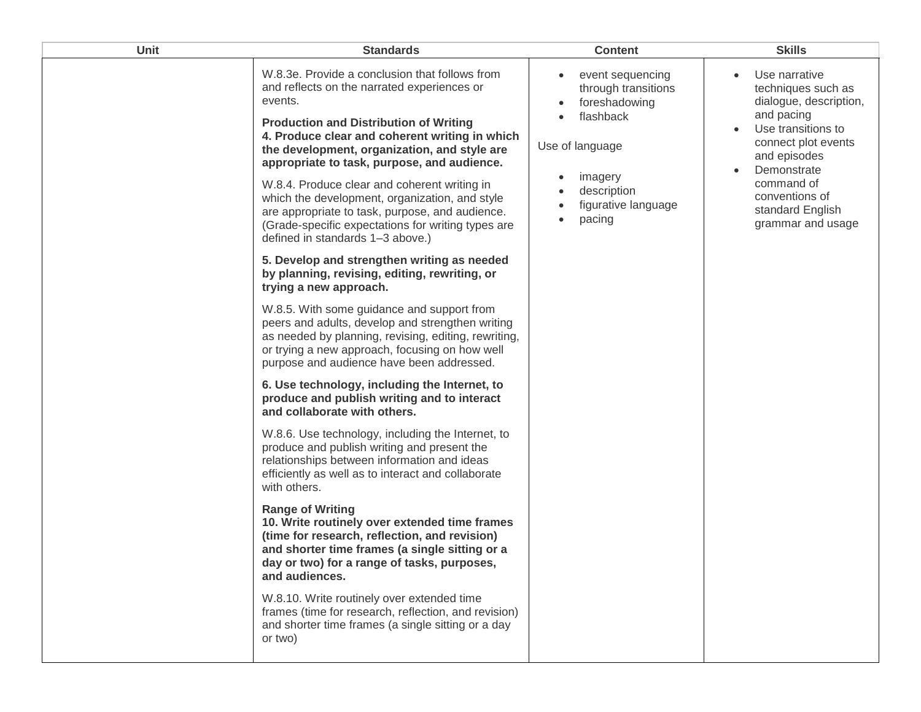| <b>Unit</b> | <b>Standards</b>                                                                                                                                                                                                                                                                                                                                                                                                                                                                                                                                                                                                                                                                                                                                                                                                                                                                                                                                                                                                                                                                                                                                                                                                                                                                                                                                                                                                                                                                                                                                                                                                                                                                                                             | <b>Content</b>                                                                                                                                           | <b>Skills</b>                                                                                                                                                                                                                                 |
|-------------|------------------------------------------------------------------------------------------------------------------------------------------------------------------------------------------------------------------------------------------------------------------------------------------------------------------------------------------------------------------------------------------------------------------------------------------------------------------------------------------------------------------------------------------------------------------------------------------------------------------------------------------------------------------------------------------------------------------------------------------------------------------------------------------------------------------------------------------------------------------------------------------------------------------------------------------------------------------------------------------------------------------------------------------------------------------------------------------------------------------------------------------------------------------------------------------------------------------------------------------------------------------------------------------------------------------------------------------------------------------------------------------------------------------------------------------------------------------------------------------------------------------------------------------------------------------------------------------------------------------------------------------------------------------------------------------------------------------------------|----------------------------------------------------------------------------------------------------------------------------------------------------------|-----------------------------------------------------------------------------------------------------------------------------------------------------------------------------------------------------------------------------------------------|
|             | W.8.3e. Provide a conclusion that follows from<br>and reflects on the narrated experiences or<br>events.<br><b>Production and Distribution of Writing</b><br>4. Produce clear and coherent writing in which<br>the development, organization, and style are<br>appropriate to task, purpose, and audience.<br>W.8.4. Produce clear and coherent writing in<br>which the development, organization, and style<br>are appropriate to task, purpose, and audience.<br>(Grade-specific expectations for writing types are<br>defined in standards 1-3 above.)<br>5. Develop and strengthen writing as needed<br>by planning, revising, editing, rewriting, or<br>trying a new approach.<br>W.8.5. With some guidance and support from<br>peers and adults, develop and strengthen writing<br>as needed by planning, revising, editing, rewriting,<br>or trying a new approach, focusing on how well<br>purpose and audience have been addressed.<br>6. Use technology, including the Internet, to<br>produce and publish writing and to interact<br>and collaborate with others.<br>W.8.6. Use technology, including the Internet, to<br>produce and publish writing and present the<br>relationships between information and ideas<br>efficiently as well as to interact and collaborate<br>with others.<br><b>Range of Writing</b><br>10. Write routinely over extended time frames<br>(time for research, reflection, and revision)<br>and shorter time frames (a single sitting or a<br>day or two) for a range of tasks, purposes,<br>and audiences.<br>W.8.10. Write routinely over extended time<br>frames (time for research, reflection, and revision)<br>and shorter time frames (a single sitting or a day<br>or two) | event sequencing<br>٠<br>through transitions<br>foreshadowing<br>flashback<br>Use of language<br>imagery<br>description<br>figurative language<br>pacing | Use narrative<br>$\bullet$<br>techniques such as<br>dialogue, description,<br>and pacing<br>Use transitions to<br>connect plot events<br>and episodes<br>Demonstrate<br>command of<br>conventions of<br>standard English<br>grammar and usage |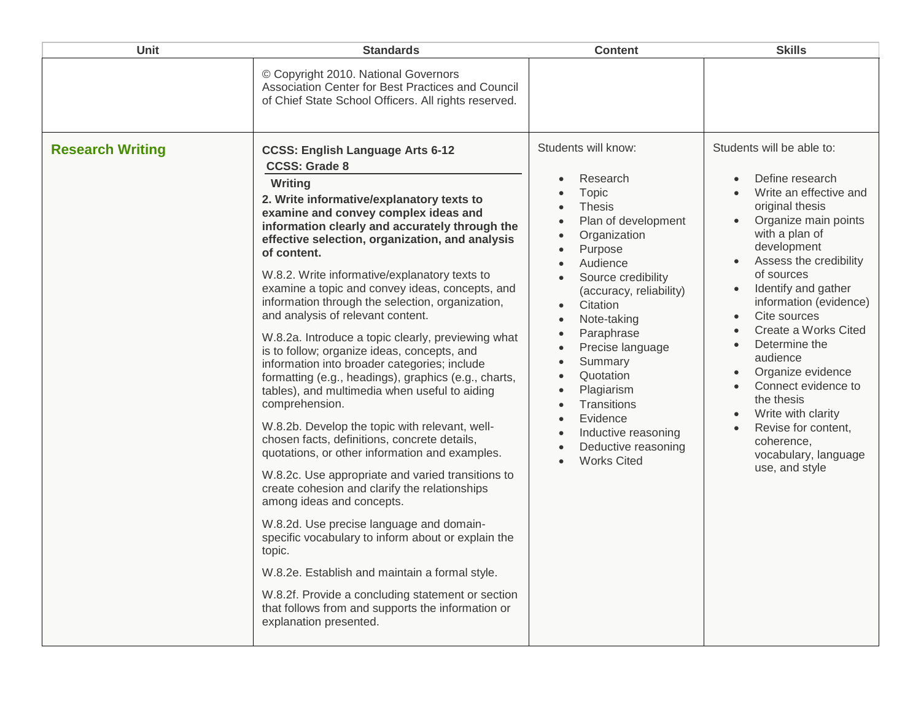| © Copyright 2010. National Governors<br>Association Center for Best Practices and Council                                                                                                                                                                                                                                                                                                                                                                                                                                                                                                                                                                                                                                                                                                                                                                                                                                                                                                                                                                                                                                                                                                                                                                                                                                                                                                                                                             |                                                                                                                                                                                                                                                                                                                                                                     |                                                                                                                                                                                                                                                                                                                                                                                                                                                                                              |
|-------------------------------------------------------------------------------------------------------------------------------------------------------------------------------------------------------------------------------------------------------------------------------------------------------------------------------------------------------------------------------------------------------------------------------------------------------------------------------------------------------------------------------------------------------------------------------------------------------------------------------------------------------------------------------------------------------------------------------------------------------------------------------------------------------------------------------------------------------------------------------------------------------------------------------------------------------------------------------------------------------------------------------------------------------------------------------------------------------------------------------------------------------------------------------------------------------------------------------------------------------------------------------------------------------------------------------------------------------------------------------------------------------------------------------------------------------|---------------------------------------------------------------------------------------------------------------------------------------------------------------------------------------------------------------------------------------------------------------------------------------------------------------------------------------------------------------------|----------------------------------------------------------------------------------------------------------------------------------------------------------------------------------------------------------------------------------------------------------------------------------------------------------------------------------------------------------------------------------------------------------------------------------------------------------------------------------------------|
| of Chief State School Officers. All rights reserved.                                                                                                                                                                                                                                                                                                                                                                                                                                                                                                                                                                                                                                                                                                                                                                                                                                                                                                                                                                                                                                                                                                                                                                                                                                                                                                                                                                                                  |                                                                                                                                                                                                                                                                                                                                                                     |                                                                                                                                                                                                                                                                                                                                                                                                                                                                                              |
| <b>Research Writing</b><br><b>CCSS: English Language Arts 6-12</b><br><b>CCSS: Grade 8</b><br>Writing<br>2. Write informative/explanatory texts to<br>examine and convey complex ideas and<br>$\bullet$<br>information clearly and accurately through the<br>$\bullet$<br>effective selection, organization, and analysis<br>$\bullet$<br>of content.<br>$\bullet$<br>W.8.2. Write informative/explanatory texts to<br>examine a topic and convey ideas, concepts, and<br>information through the selection, organization,<br>and analysis of relevant content.<br>$\bullet$<br>W.8.2a. Introduce a topic clearly, previewing what<br>is to follow; organize ideas, concepts, and<br>information into broader categories; include<br>formatting (e.g., headings), graphics (e.g., charts,<br>tables), and multimedia when useful to aiding<br>comprehension.<br>W.8.2b. Develop the topic with relevant, well-<br>chosen facts, definitions, concrete details,<br>quotations, or other information and examples.<br>W.8.2c. Use appropriate and varied transitions to<br>create cohesion and clarify the relationships<br>among ideas and concepts.<br>W.8.2d. Use precise language and domain-<br>specific vocabulary to inform about or explain the<br>topic.<br>W.8.2e. Establish and maintain a formal style.<br>W.8.2f. Provide a concluding statement or section<br>that follows from and supports the information or<br>explanation presented. | Students will know:<br>Research<br>Topic<br>Thesis<br>Plan of development<br>Organization<br>Purpose<br>Audience<br>Source credibility<br>(accuracy, reliability)<br>Citation<br>Note-taking<br>Paraphrase<br>Precise language<br>Summary<br>Quotation<br>Plagiarism<br>Transitions<br>Evidence<br>Inductive reasoning<br>Deductive reasoning<br><b>Works Cited</b> | Students will be able to:<br>Define research<br>Write an effective and<br>original thesis<br>Organize main points<br>with a plan of<br>development<br>Assess the credibility<br>of sources<br>Identify and gather<br>information (evidence)<br>Cite sources<br>Create a Works Cited<br>Determine the<br>$\bullet$<br>audience<br>Organize evidence<br>Connect evidence to<br>the thesis<br>Write with clarity<br>Revise for content,<br>coherence,<br>vocabulary, language<br>use, and style |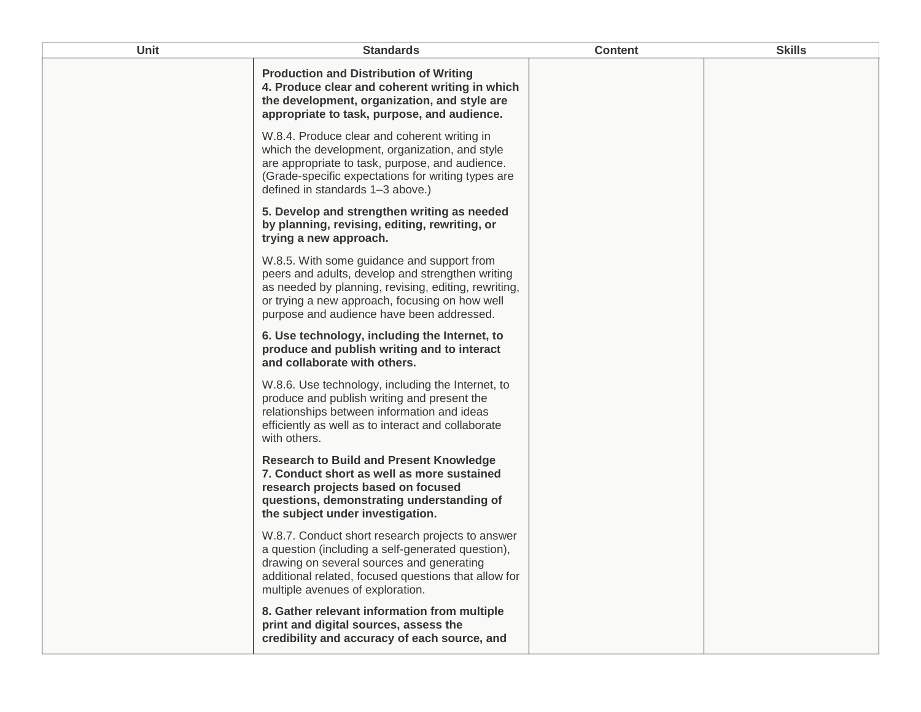| <b>Unit</b> | <b>Standards</b>                                                                                                                                                                                                                                      | <b>Content</b> | <b>Skills</b> |
|-------------|-------------------------------------------------------------------------------------------------------------------------------------------------------------------------------------------------------------------------------------------------------|----------------|---------------|
|             | <b>Production and Distribution of Writing</b><br>4. Produce clear and coherent writing in which<br>the development, organization, and style are<br>appropriate to task, purpose, and audience.                                                        |                |               |
|             | W.8.4. Produce clear and coherent writing in<br>which the development, organization, and style<br>are appropriate to task, purpose, and audience.<br>(Grade-specific expectations for writing types are<br>defined in standards 1-3 above.)           |                |               |
|             | 5. Develop and strengthen writing as needed<br>by planning, revising, editing, rewriting, or<br>trying a new approach.                                                                                                                                |                |               |
|             | W.8.5. With some guidance and support from<br>peers and adults, develop and strengthen writing<br>as needed by planning, revising, editing, rewriting,<br>or trying a new approach, focusing on how well<br>purpose and audience have been addressed. |                |               |
|             | 6. Use technology, including the Internet, to<br>produce and publish writing and to interact<br>and collaborate with others.                                                                                                                          |                |               |
|             | W.8.6. Use technology, including the Internet, to<br>produce and publish writing and present the<br>relationships between information and ideas<br>efficiently as well as to interact and collaborate<br>with others.                                 |                |               |
|             | <b>Research to Build and Present Knowledge</b><br>7. Conduct short as well as more sustained<br>research projects based on focused<br>questions, demonstrating understanding of<br>the subject under investigation.                                   |                |               |
|             | W.8.7. Conduct short research projects to answer<br>a question (including a self-generated question),<br>drawing on several sources and generating<br>additional related, focused questions that allow for<br>multiple avenues of exploration.        |                |               |
|             | 8. Gather relevant information from multiple<br>print and digital sources, assess the<br>credibility and accuracy of each source, and                                                                                                                 |                |               |